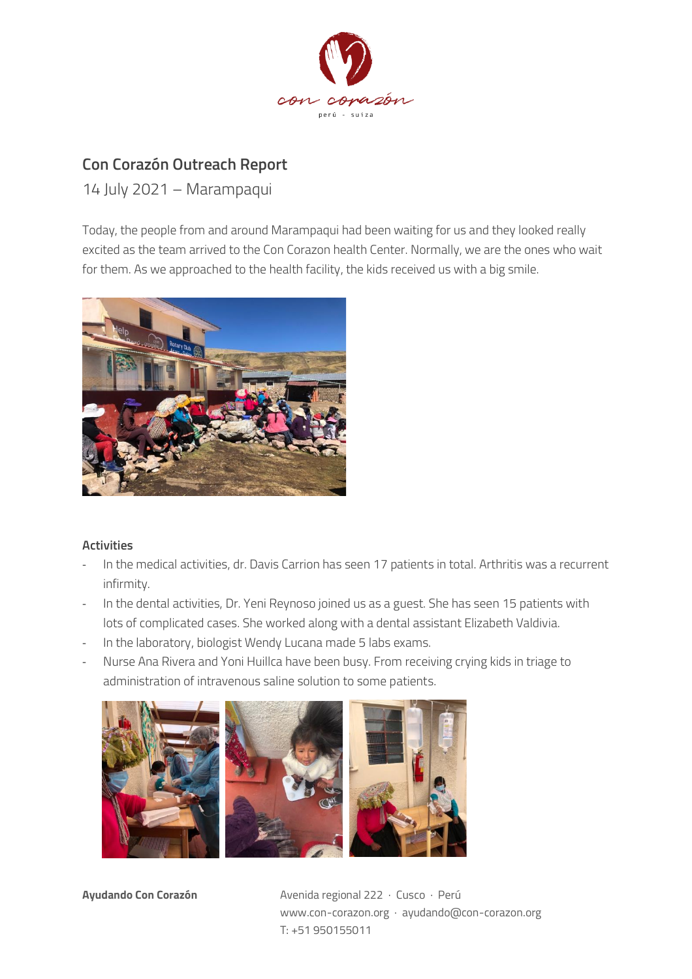

## **Con Corazón Outreach Report**

14 July 2021 – Marampaqui

Today, the people from and around Marampaqui had been waiting for us and they looked really excited as the team arrived to the Con Corazon health Center. Normally, we are the ones who wait for them. As we approached to the health facility, the kids received us with a big smile.



## **Activities**

- In the medical activities, dr. Davis Carrion has seen 17 patients in total. Arthritis was a recurrent infirmity.
- In the dental activities, Dr. Yeni Reynoso joined us as a guest. She has seen 15 patients with lots of complicated cases. She worked along with a dental assistant Elizabeth Valdivia.
- In the laboratory, biologist Wendy Lucana made 5 labs exams.
- Nurse Ana Rivera and Yoni Huillca have been busy. From receiving crying kids in triage to administration of intravenous saline solution to some patients.



**Ayudando Con Corazón** Avenida regional 222 · Cusco · Perú www.con-corazon.org · ayudando@con-corazon.org T: +51 950155011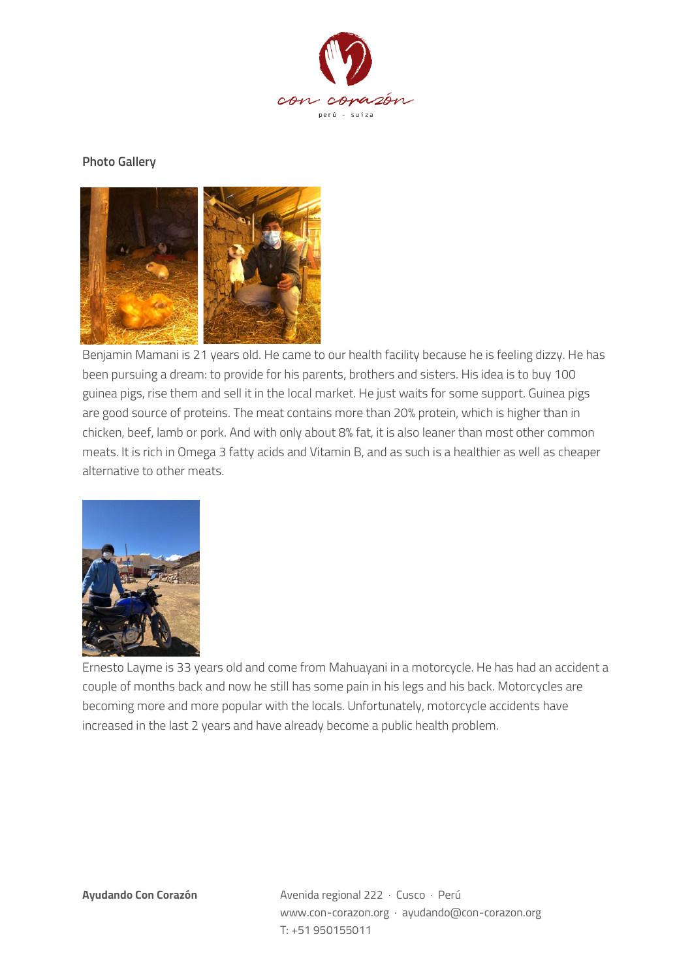

## **Photo Gallery**



Benjamin Mamani is 21 years old. He came to our health facility because he is feeling dizzy. He has been pursuing a dream: to provide for his parents, brothers and sisters. His idea is to buy 100 guinea pigs, rise them and sell it in the local market. He just waits for some support. Guinea pigs are good source of proteins. The meat contains more than 20% protein, which is higher than in chicken, beef, lamb or pork. And with only about 8% fat, it is also leaner than most other common meats. It is rich in Omega 3 fatty acids and Vitamin B, and as such is a healthier as well as cheaper alternative to other meats.



Ernesto Layme is 33 years old and come from Mahuayani in a motorcycle. He has had an accident a couple of months back and now he still has some pain in his legs and his back. Motorcycles are becoming more and more popular with the locals. Unfortunately, motorcycle accidents have increased in the last 2 years and have already become a public health problem.

**Ayudando Con Corazón** Avenida regional 222 · Cusco · Perú www.con-corazon.org · ayudando@con-corazon.org T: +51 950155011